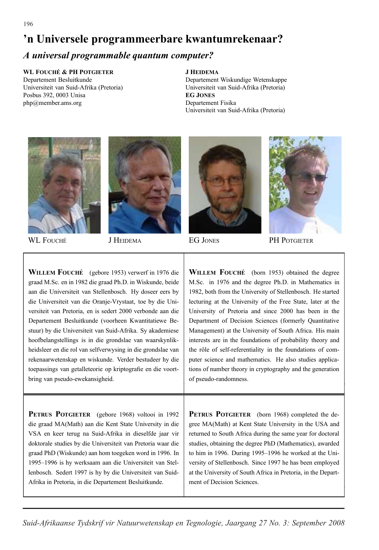# **'n Universele programmeerbare kwantumrekenaar?**

#### *A universal programmable quantum computer?*

#### **WL FOUCHE´ & PH POTGIETER**

Departement Besluitkunde Universiteit van Suid-Afrika (Pretoria) Posbus 392, 0003 Unisa php@member.ams.org

#### **J HEIDEMA**

Departement Wiskundige Wetenskappe Universiteit van Suid-Afrika (Pretoria) **EG JONES** Departement Fisika Universiteit van Suid-Afrika (Pretoria)









WL FOUCHÉ **J** HEIDEMA EG JONES PH POTGIETER

**WILLEM FOUCHE´** (gebore 1953) verwerf in 1976 die graad M.Sc. en in 1982 die graad Ph.D. in Wiskunde, beide aan die Universiteit van Stellenbosch. Hy doseer eers by die Universiteit van die Oranje-Vrystaat, toe by die Universiteit van Pretoria, en is sedert 2000 verbonde aan die Departement Besluitkunde (voorheen Kwantitatiewe Bestuur) by die Universiteit van Suid-Afrika. Sy akademiese hoofbelangstellings is in die grondslae van waarskynlikheidsleer en die rol van selfverwysing in die grondslae van rekenaarwetenskap en wiskunde. Verder bestudeer hy die toepassings van getalleteorie op kriptografie en die voortbring van pseudo-ewekansigheid.

**WILLEM FOUCHE´** (born 1953) obtained the degree M.Sc. in 1976 and the degree Ph.D. in Mathematics in 1982, both from the University of Stellenbosch. He started lecturing at the University of the Free State, later at the University of Pretoria and since 2000 has been in the Department of Decision Sciences (formerly Quantitative Management) at the University of South Africa. His main interests are in the foundations of probability theory and the rôle of self-referentiality in the foundations of computer science and mathematics. He also studies applications of number theory in cryptography and the generation of pseudo-randomness.

**PETRUS POTGIETER** (gebore 1968) voltooi in 1992 die graad MA(Math) aan die Kent State University in die VSA en keer terug na Suid-Afrika in dieselfde jaar vir doktorale studies by die Universiteit van Pretoria waar die graad PhD (Wiskunde) aan hom toegeken word in 1996. In 1995–1996 is hy werksaam aan die Universiteit van Stellenbosch. Sedert 1997 is hy by die Universiteit van Suid-Afrika in Pretoria, in die Departement Besluitkunde.

**PETRUS POTGIETER** (born 1968) completed the degree MA(Math) at Kent State University in the USA and returned to South Africa during the same year for doctoral studies, obtaining the degree PhD (Mathematics), awarded to him in 1996. During 1995–1996 he worked at the University of Stellenbosch. Since 1997 he has been employed at the University of South Africa in Pretoria, in the Department of Decision Sciences.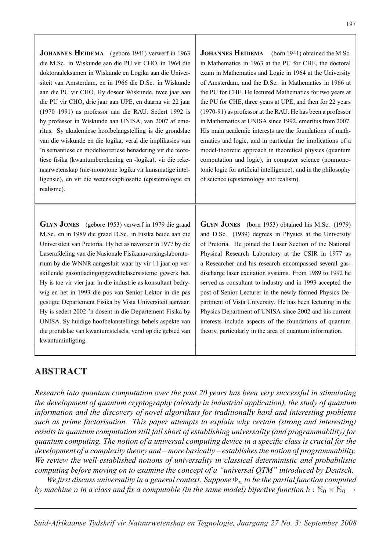**JOHANNES HEIDEMA** (gebore 1941) verwerf in 1963 die M.Sc. in Wiskunde aan die PU vir CHO, in 1964 die doktoraaleksamen in Wiskunde en Logika aan die Universiteit van Amsterdam, en in 1966 die D.Sc. in Wiskunde aan die PU vir CHO. Hy doseer Wiskunde, twee jaar aan die PU vir CHO, drie jaar aan UPE, en daarna vir 22 jaar (1970–1991) as professor aan die RAU. Sedert 1992 is hy professor in Wiskunde aan UNISA, van 2007 af emeritus. Sy akademiese hoofbelangstelling is die grondslae van die wiskunde en die logika, veral die implikasies van 'n semantiese en modelteoretiese benadering vir die teoretiese fisika (kwantumberekening en -logika), vir die rekenaarwetenskap (nie-monotone logika vir kunsmatige intelligensie), en vir die wetenskapfilosofie (epistemologie en realisme).

> **GLYN JONES** (born 1953) obtained his M.Sc. (1979) and D.Sc. (1989) degrees in Physics at the University of Pretoria. He joined the Laser Section of the National Physical Research Laboratory at the CSIR in 1977 as a Researcher and his research encompassed several gasdischarge laser excitation systems. From 1989 to 1992 he served as consultant to industry and in 1993 accepted the post of Senior Lecturer in the newly formed Physics Department of Vista University. He has been lecturing in the Physics Department of UNISA since 2002 and his current interests include aspects of the foundations of quantum theory, particularly in the area of quantum information.

of science (epistemology and realism).

**JOHANNES HEIDEMA** (born 1941) obtained the M.Sc. in Mathematics in 1963 at the PU for CHE, the doctoral exam in Mathematics and Logic in 1964 at the University of Amsterdam, and the D.Sc. in Mathematics in 1966 at the PU for CHE. He lectured Mathematics for two years at the PU for CHE, three years at UPE, and then for 22 years (1970-91) as professor at the RAU. He has been a professor in Mathematics at UNISA since 1992, emeritus from 2007. His main academic interests are the foundations of mathematics and logic, and in particular the implications of a model-theoretic approach in theoretical physics (quantum computation and logic), in computer science (nonmonotonic logic for artificial intelligence), and in the philosophy

#### **GLYN JONES** (gebore 1953) verwerf in 1979 die graad M.Sc. en in 1989 die graad D.Sc. in Fisika beide aan die Universiteit van Pretoria. Hy het as navorser in 1977 by die Laserafdeling van die Nasionale Fisikanavorsingslaboratorium by die WNNR aangesluit waar hy vir 11 jaar op verskillende gasontladingopgewektelasersisteme gewerk het. Hy is toe vir vier jaar in die industrie as konsultant bedrywig en het in 1993 die pos van Senior Lektor in die pas gestigte Departement Fisika by Vista Universiteit aanvaar. Hy is sedert 2002 'n dosent in die Departement Fisika by UNISA. Sy huidige hoofbelanstellings behels aspekte van die grondslae van kwantumstelsels, veral op die gebied van kwantuminligting.

# **ABSTRACT ABSTRACT**

*Research into quantum computation over the past 20 years has been very successful in stimulating the development of quantum cryptography (already in industrial application), the study of quantum information and the discovery of novel algorithms for traditionally hard and interesting problems such as prime factorisation. This paper attempts to explain why certain (strong and interesting) results in quantum computation still fall short of establishing universality (and programmability) for quantum computing. The notion of a universal computing device in a specific class is crucial for the development of a complexity theory and – more basically – establishes the notion of programmability. We review the well-established notions of universality in classical deterministic and probabilistic computing before moving on to examine the concept of a "universal QTM" introduced by Deutsch.*

*We first discuss universality in a general context. Suppose*  $\Phi_n$  *to be the partial function computed by machine n in a class and fix a computable (in the same model) bijective function*  $h : \mathbb{N}_0 \times \mathbb{N}_0 \to$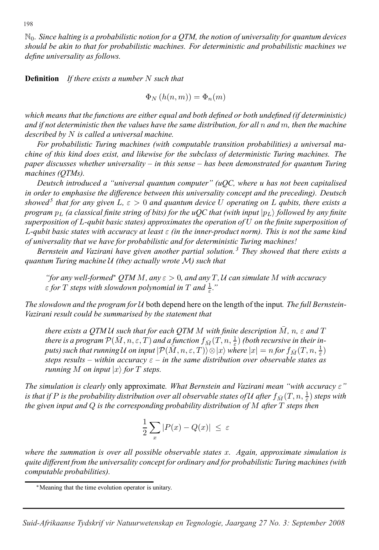N0*. Since halting is a probabilistic notion for a QTM, the notion of universality for quantum devices should be akin to that for probabilistic machines. For deterministic and probabilistic machines we define universality as follows.*

**Definition** *If there exists a number* N *such that*

 $\Phi_N(h(n,m)) = \Phi_n(m)$ 

*which means that the functions are either equal and both defined or both undefined (if deterministic) and if not deterministic then the values have the same distribution, for all* n *and* m*, then the machine described by* N *is called a universal machine.*

*For probabilistic Turing machines (with computable transition probabilities) a universal machine of this kind does exist, and likewise for the subclass of deterministic Turing machines. The paper discusses whether universality – in this sense – has been demonstrated for quantum Turing machines (QTMs).*

*Deutsch introduced a "universal quantum computer" (uQC, where u has not been capitalised in order to emphasise the difference between this universality concept and the preceding). Deutsch showed*<sup>5</sup> *that for any given* L,  $\varepsilon > 0$  *and quantum device* U *operating on* L *qubits, there exists a program*  $p_L$  *(a classical finite string of bits) for the uQC that (with input*  $|p_L\rangle$  *followed by any finite superposition of* L*-qubit basic states) approximates the operation of* U *on the finite superposition of* L*-qubit basic states with accuracy at least* ε *(in the inner-product norm). This is not the same kind of universality that we have for probabilistic and for deterministic Turing machines!*

*Bernstein and Vazirani have given another partial solution. <sup>3</sup> They showed that there exists a quantum Turing machine* U *(they actually wrote* M*) such that*

*"for any well-formed*<sup>∗</sup> *QTM* <sup>M</sup>*, any* ε > <sup>0</sup>*, and any* <sup>T</sup> *,* <sup>U</sup> *can simulate* <sup>M</sup> *with accuracy*  $\varepsilon$  for  $T$  steps with slowdown polynomial in  $T$  and  $\frac{1}{\varepsilon}$ ."

*The slowdown and the program for* U both depend here on the length of the input*. The full Bernstein-Vazirani result could be summarised by the statement that*

*there exists a QTMU such that for each QTM M with finite description*  $\overline{M}$ *, n,*  $\varepsilon$  *and*  $T$ *there is a program*  $\mathcal{P}(\bar{M}, n, \varepsilon, \bar{T})$  *and a function*  $f_{\bar{M}}(\bar{T}, n, \frac{1}{\varepsilon})$  *(both recursive in their inputs) such that running* U *on input*  $\lvert \mathcal{P}(\overline{M}, n, \varepsilon, T) \rvert \otimes \lvert x \rangle$  where  $\lvert x \rvert = n$  for  $f_{\overline{M}}(T, n, \frac{1}{\varepsilon})$ *steps results – within accuracy*  $\varepsilon$  – *in the same distribution over observable states as running*  $M$  *on input*  $|x\rangle$  *for*  $T$  *steps.* 

*The simulation is clearly* only approximate*. What Bernstein and Vazirani mean "with accuracy* ε*" is that if* P *is the probability distribution over all observable states of* U *after*  $f_{\bar{M}}(T, n, \frac{1}{\varepsilon})$  *steps with the given input and* Q *is the corresponding probability distribution of* M *after* T *steps then*

$$
\frac{1}{2}\sum_{x}|P(x) - Q(x)| \leq \varepsilon
$$

*where the summation is over all possible observable states* x*. Again, approximate simulation is quite different from the universality concept for ordinary and for probabilistic Turing machines (with computable probabilities).*

<sup>∗</sup>Meaning that the time evolution operator is unitary.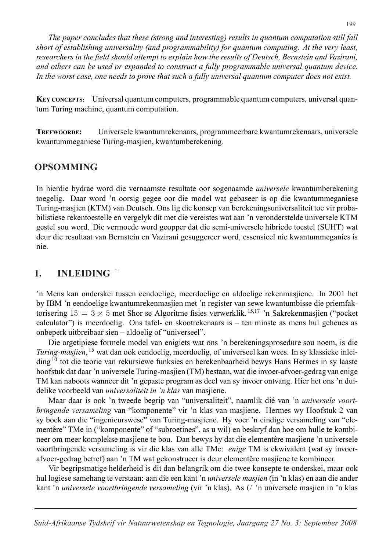*The paper concludes that these (strong and interesting) results in quantum computation still fall short of establishing universality (and programmability) for quantum computing. At the very least, researchers in the field should attempt to explain how the results of Deutsch, Bernstein and Vazirani, and others can be used or expanded to construct a fully programmable universal quantum device. In the worst case, one needs to prove that such a fully universal quantum computer does not exist.*

**KEY CONCEPTS:** Universal quantum computers, programmable quantum computers, universal quantum Turing machine, quantum computation.

**TREFWOORDE:** Universele kwantumrekenaars, programmeerbare kwantumrekenaars, universele kwantummeganiese Turing-masjien, kwantumberekening.

# **OPSOMMING OPSOMMING**

In hierdie bydrae word die vernaamste resultate oor sogenaamde *universele* kwantumberekening toegelig. Daar word 'n oorsig gegee oor die model wat gebaseer is op die kwantummeganiese Turing-masjien (KTM) van Deutsch. Ons lig die konsep van berekeningsuniversaliteit toe vir probabilistiese rekentoestelle en vergelyk dít met die vereistes wat aan 'n veronderstelde universele KTM gestel sou word. Die vermoede word geopper dat die semi-universele hibriede toestel (SUHT) wat deur die resultaat van Bernstein en Vazirani gesuggereer word, essensieel nie kwantummeganies is nie.

### **1. INLEIDING 1. INLEIDING**

'n Mens kan onderskei tussen eendoelige, meerdoelige en aldoelige rekenmasjiene. In 2001 het by IBM 'n eendoelige kwantumrekenmasjien met 'n register van sewe kwantumbisse die priemfaktorisering  $15 = 3 \times 5$  met Shor se Algoritme fisies verwerklik.<sup>15,17</sup> 'n Sakrekenmasjien ("pocket") calculator") is meerdoelig. Ons tafel- en skootrekenaars is – ten minste as mens hul geheues as onbeperk uitbreibaar sien – aldoelig of "universeel".

Die argetipiese formele model van enigiets wat ons 'n berekeningsprosedure sou noem, is die *Turing-masjien*, <sup>15</sup> wat dan ook eendoelig, meerdoelig, of universeel kan wees. In sy klassieke inleiding<sup>10</sup> tot die teorie van rekursiewe funksies en berekenbaarheid bewys Hans Hermes in sy laaste hoofstuk dat daar 'n universele Turing-masjien (TM) bestaan, wat die invoer-afvoer-gedrag van enige TM kan naboots wanneer dit 'n gepaste program as deel van sy invoer ontvang. Hier het ons 'n duidelike voorbeeld van *universaliteit in 'n klas* van masjiene.

Maar daar is ook 'n tweede begrip van "universaliteit", naamlik dié van 'n *universele voortbringende versameling* van "komponente" vir 'n klas van masjiene. Hermes wy Hoofstuk 2 van sy boek aan die "ingenieurswese" van Turing-masjiene. Hy voer 'n eindige versameling van "elementêre" TMe in ("komponente" of "subroetines", as u wil) en beskryf dan hoe om hulle te kombineer om meer komplekse masjiene te bou. Dan bewys hy dat die elementêre masjiene 'n universele voortbringende versameling is vir die klas van alle TMe: *enige* TM is ekwivalent (wat sy invoerafvoer-gedrag betref) aan 'n TM wat gekonstrueer is deur elementêre masjiene te kombineer.

Vir begripsmatige helderheid is dit dan belangrik om die twee konsepte te onderskei, maar ook hul logiese samehang te verstaan: aan die een kant 'n *universele masjien* (in 'n klas) en aan die ander kant 'n *universele voortbringende versameling* (vir 'n klas). As U 'n universele masjien in 'n klas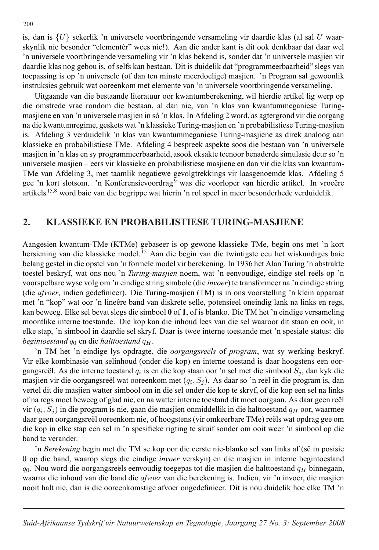is, dan is  $\{U\}$  sekerlik 'n universele voortbringende versameling vir daardie klas (al sal U waarskynlik nie besonder "elementêr" wees nie!). Aan die ander kant is dit ook denkbaar dat daar wel 'n universele voortbringende versameling vir 'n klas bekend is, sonder dat 'n universele masjien vir daardie klas nog gebou is, of selfs kan bestaan. Dit is duidelik dat "programmeerbaarheid" slegs van toepassing is op 'n universele (of dan ten minste meerdoelige) masjien. 'n Program sal gewoonlik instruksies gebruik wat ooreenkom met elemente van 'n universele voortbringende versameling.

Uitgaande van die bestaande literatuur oor kwantumberekening, wil hierdie artikel lig werp op die omstrede vrae rondom die bestaan, al dan nie, van 'n klas van kwantummeganiese Turingmasjiene en van 'n universele masjien in só 'n klas. In Afdeling 2 word, as agtergrond vir die oorgang na die kwantumregime, geskets wat 'n klassieke Turing-masjien en 'n probabilistiese Turing-masjien is. Afdeling 3 verduidelik 'n klas van kwantummeganiese Turing-masjiene as direk analoog aan klassieke en probabilistiese TMe. Afdeling 4 bespreek aspekte soos die bestaan van 'n universele masjien in 'n klas en sy programmeerbaarheid, asook eksakte teenoor benaderde simulasie deur so 'n universele masjien – eers vir klassieke en probabilistiese masjiene en dan vir die klas van kwantum-TMe van Afdeling 3, met taamlik negatiewe gevolgtrekkings vir laasgenoemde klas. Afdeling 5 gee 'n kort slotsom. 'n Konferensievoordrag<sup>9</sup> was die voorloper van hierdie artikel. In vroeëre artikels<sup>15,8</sup> word baie van die begrippe wat hierin 'n rol speel in meer besonderhede verduidelik.

### **2. KLASSIEKE EN PROBABILISTIESE TURING-MASJIENE 2. KLASSIEKE EN PROBABILISTIESE TURING-MASJIENE**

Aangesien kwantum-TMe (KTMe) gebaseer is op gewone klassieke TMe, begin ons met 'n kort hersiening van die klassieke model. <sup>15</sup> Aan die begin van die twintigste eeu het wiskundiges baie belang gestel in die opstel van 'n formele model vir berekening. In 1936 het Alan Turing 'n abstrakte toestel beskryf, wat ons nou 'n *Turing-masjien* noem, wat 'n eenvoudige, eindige stel reëls op 'n voorspelbare wyse volg om 'n eindige string simbole (die *invoer*) te transformeer na 'n eindige string (die *afvoer*, indien gedefinieer). Die Turing-masjien (TM) is in ons voorstelling 'n klein apparaat met 'n "kop" wat oor 'n lineêre band van diskrete selle, potensieel oneindig lank na links en regs, kan beweeg. Elke sel bevat slegs die simbool **0** of **1**, of is blanko. Die TM het 'n eindige versameling moontlike interne toestande. Die kop kan die inhoud lees van die sel waaroor dit staan en ook, in elke stap, 'n simbool in daardie sel skryf. Daar is twee interne toestande met 'n spesiale status: die *begintoestand*  $q_0$  en die *halttoestand*  $q_H$ .

'n TM het 'n eindige lys opdragte, die oorgangsreëls of program, wat sy werking beskryf. Vir elke kombinasie van selinhoud (onder die kop) en interne toestand is daar hoogstens een oorgangsreël. As die interne toestand  $q_i$  is en die kop staan oor 'n sel met die simbool  $S_i$ , dan kyk die masjien vir die oorgangsreël wat ooreenkom met  $(q_i, S_j)$ . As daar so 'n reël in die program is, dan vertel dit die masjien watter simbool om in die sel onder die kop te skryf, of die kop een sel na links of na regs moet beweeg of glad nie, en na watter interne toestand dit moet oorgaan. As daar geen reël vir  $(q_i, S_j)$  in die program is nie, gaan die masjien onmiddellik in die halttoestand  $q_H$  oor, waarmee daar geen oorgangsreël ooreenkom nie, of hoogstens (vir omkeerbare TMe) reëls wat opdrag gee om die kop in elke stap een sel in 'n spesifieke rigting te skuif sonder om ooit weer 'n simbool op die band te verander.

'n *Berekening* begin met die TM se kop oor die eerste nie-blanko sel van links af (sê in posisie 0 op die band, waarop slegs die eindige *invoer* verskyn) en die masjien in interne begintoestand  $q_0$ . Nou word die oorgangsreëls eenvoudig toegepas tot die masjien die halttoestand  $q_H$  binnegaan, waarna die inhoud van die band die *afvoer* van die berekening is. Indien, vir 'n invoer, die masjien nooit halt nie, dan is die ooreenkomstige afvoer ongedefinieer. Dit is nou duidelik hoe elke TM 'n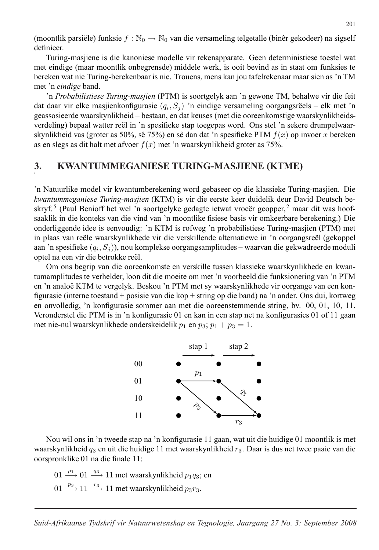(moontlik parsiële) funksie  $f : \mathbb{N}_0 \to \mathbb{N}_0$  van die versameling telgetalle (binêr gekodeer) na sigself definieer.

Turing-masjiene is die kanoniese modelle vir rekenapparate. Geen deterministiese toestel wat met eindige (maar moontlik onbegrensde) middele werk, is ooit bevind as in staat om funksies te bereken wat nie Turing-berekenbaar is nie. Trouens, mens kan jou tafelrekenaar maar sien as 'n TM met 'n *eindige* band.

'n *Probabilistiese Turing-masjien* (PTM) is soortgelyk aan 'n gewone TM, behalwe vir die feit dat daar vir elke masjienkonfigurasie  $(q_i, S_i)$  'n eindige versameling oorgangsrëels – elk met 'n geassosieerde waarskynlikheid – bestaan, en dat keuses (met die ooreenkomstige waarskynlikheidsverdeling) bepaal watter reël in 'n spesifieke stap toegepas word. Ons stel 'n sekere drumpelwaarskynlikheid vas (groter as 50%, sê 75%) en sê dan dat 'n spesifieke PTM  $f(x)$  op invoer x bereken as en slegs as dit halt met afvoer  $f(x)$  met 'n waarskynlikheid groter as 75%.

# **3. KWANTUMMEGANIESE TURING-MASJIENE (KTME) 3. KWANTUMMEGANIESE TURING-MASJIENE (KTME)**

'n Natuurlike model vir kwantumberekening word gebaseer op die klassieke Turing-masjien. Die *kwantummeganiese Turing-masjien* (KTM) is vir die eerste keer duidelik deur David Deutsch beskryf.<sup>5</sup> (Paul Benioff het wel 'n soortgelyke gedagte ietwat vroeër geopper,<sup>2</sup> maar dit was hoofsaaklik in die konteks van die vind van 'n moontlike fisiese basis vir omkeerbare berekening.) Die onderliggende idee is eenvoudig: 'n KTM is rofweg 'n probabilistiese Turing-masjien (PTM) met in plaas van reële waarskynlikhede vir die verskillende alternatiewe in 'n oorgangsreël (gekoppel aan 'n spesifieke  $(q_i, S_j)$ , nou komplekse oorgangsamplitudes – waarvan die gekwadreerde moduli optel na een vir die betrokke reël.

Om ons begrip van die ooreenkomste en verskille tussen klassieke waarskynlikhede en kwantumamplitudes te verhelder, loon dit die moeite om met 'n voorbeeld die funksionering van 'n PTM en 'n analoë KTM te vergelyk. Beskou 'n PTM met sy waarskynlikhede vir oorgange van een konfigurasie (interne toestand + posisie van die kop + string op die band) na 'n ander. Ons dui, kortweg en onvolledig, 'n konfigurasie sommer aan met die ooreenstemmende string, bv. 00, 01, 10, 11. Veronderstel die PTM is in 'n konfigurasie 01 en kan in een stap net na konfigurasies 01 of 11 gaan met nie-nul waarskynlikhede onderskeidelik  $p_1$  en  $p_3$ ;  $p_1 + p_3 = 1$ .



Nou wil ons in 'n tweede stap na 'n konfigurasie 11 gaan, wat uit die huidige 01 moontlik is met waarskynlikheid  $q_3$  en uit die huidige 11 met waarskynlikheid  $r_3$ . Daar is dus net twee paaie van die oorspronklike 01 na die finale 11:

01  $\frac{p_1}{\longrightarrow}$  01  $\frac{q_3}{\longrightarrow}$  11 met waarskynlikheid  $p_1q_3$ ; en

01  $\frac{p_3}{\longrightarrow}$  11  $\frac{r_3}{\longrightarrow}$  11 met waarskynlikheid  $p_3r_3$ .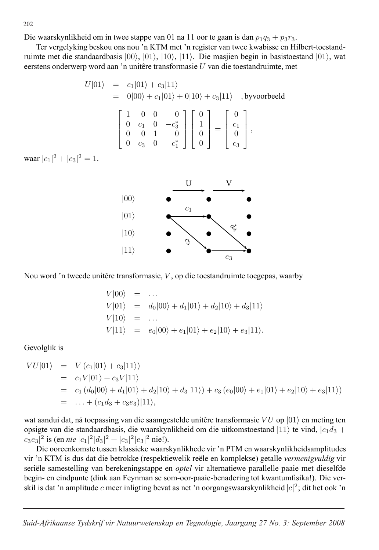Die waarskynlikheid om in twee stappe van 01 na 11 oor te gaan is dan  $p_1q_3 + p_3r_3$ .

Ter vergelyking beskou ons nou 'n KTM met 'n register van twee kwabisse en Hilbert-toestandruimte met die standaardbasis  $|00\rangle$ ,  $|01\rangle$ ,  $|10\rangle$ ,  $|11\rangle$ . Die masjien begin in basistoestand  $|01\rangle$ , wat eerstens onderwerp word aan 'n unitêre transformasie  $U$  van die toestandruimte, met

$$
U|01\rangle = c_1|01\rangle + c_3|11\rangle
$$
  
= 0|00\rangle + c\_1|01\rangle + 0|10\rangle + c\_3|11\rangle , byvoorbeeld  

$$
\begin{bmatrix} 1 & 0 & 0 & 0 \\ 0 & c_1 & 0 & -c_3^* \\ 0 & 0 & 1 & 0 \\ 0 & c_3 & 0 & c_1^* \end{bmatrix} \begin{bmatrix} 0 \\ 1 \\ 0 \\ 0 \end{bmatrix} = \begin{bmatrix} 0 \\ c_1 \\ 0 \\ c_3 \end{bmatrix},
$$

waar  $|c_1|^2 + |c_3|^2 = 1$ .



Nou word 'n tweede unitêre transformasie,  $V$ , op die toestandruimte toegepas, waarby

$$
V|00\rangle = \dots
$$
  
\n
$$
V|01\rangle = d_0|00\rangle + d_1|01\rangle + d_2|10\rangle + d_3|11\rangle
$$
  
\n
$$
V|10\rangle = \dots
$$
  
\n
$$
V|11\rangle = e_0|00\rangle + e_1|01\rangle + e_2|10\rangle + e_3|11\rangle.
$$

Gevolglik is

$$
VU|01\rangle = V(c_1|01\rangle + c_3|11\rangle)
$$
  
= c<sub>1</sub>V|01\rangle + c<sub>3</sub>V|11\rangle  
= c<sub>1</sub>(d<sub>0</sub>|00\rangle + d<sub>1</sub>|01\rangle + d<sub>2</sub>|10\rangle + d<sub>3</sub>|11\rangle) + c<sub>3</sub>(e<sub>0</sub>|00\rangle + e<sub>1</sub>|01\rangle + e<sub>2</sub>|10\rangle + e<sub>3</sub>|11\rangle)  
= ... + (c<sub>1</sub>d<sub>3</sub> + c<sub>3</sub>e<sub>3</sub>)|11\rangle,

wat aandui dat, ná toepassing van die saamgestelde unitêre transformasie  $V U$  op  $|01\rangle$  en meting ten opsigte van die standaardbasis, die waarskynlikheid om die uitkomstoestand  $|11\rangle$  te vind,  $|c_1d_3 +$  $c_3e_3|^2$  is (en *nie*  $|c_1|^2|d_3|^2 + |c_3|^2|e_3|^2$  nie!).

Die ooreenkomste tussen klassieke waarskynlikhede vir 'n PTM en waarskynlikheidsamplitudes vir 'n KTM is dus dat die betrokke (respektiewelik reële en komplekse) getalle *vermenigvuldig* vir seriële samestelling van berekeningstappe en *optel* vir alternatiewe parallelle paaie met dieselfde begin- en eindpunte (dink aan Feynman se som-oor-paaie-benadering tot kwantumfisika!). Die verskil is dat 'n amplitude c meer inligting bevat as net 'n oorgangswaarskynlikheid  $|c|^2$ ; dit het ook 'n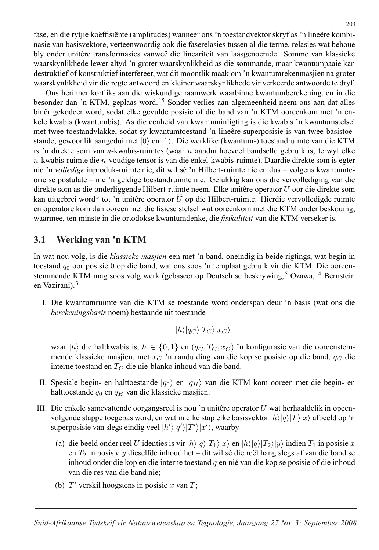fase, en die rytjie koëffisiënte (amplitudes) wanneer ons 'n toestandvektor skryf as 'n lineêre kombinasie van basisvektore, verteenwoordig ook die faserelasies tussen al die terme, relasies wat behoue bly onder unitêre transformasies vanweë die lineariteit van laasgenoemde. Somme van klassieke waarskynlikhede lewer altyd 'n groter waarskynlikheid as die sommande, maar kwantumpaaie kan destruktief of konstruktief interfereer, wat dit moontlik maak om 'n kwantumrekenmasjien na groter waarskynlikheid vir die regte antwoord en kleiner waarskynlikhede vir verkeerde antwoorde te dryf.

Ons herinner kortliks aan die wiskundige raamwerk waarbinne kwantumberekening, en in die besonder dan 'n KTM, geplaas word. <sup>15</sup> Sonder verlies aan algemeenheid neem ons aan dat alles binêr gekodeer word, sodat elke gevulde posisie of die band van 'n KTM ooreenkom met 'n enkele kwabis (kwantumbis). As die eenheid van kwantuminligting is die kwabis 'n kwantumstelsel met twee toestandvlakke, sodat sy kwantumtoestand 'n lineêre superposisie is van twee basistoestande, gewoonlik aangedui met  $|0\rangle$  en  $|1\rangle$ . Die werklike (kwantum-) toestandruimte van die KTM is 'n direkte som van *n*-kwabis-ruimtes (waar n aandui hoeveel bandselle gebruik is, terwyl elke  $n$ -kwabis-ruimte die  $n$ -voudige tensor is van die enkel-kwabis-ruimte). Daardie direkte som is egter nie 'n *volledige* inproduk-ruimte nie, dit wil sê 'n Hilbert-ruimte nie en dus – volgens kwantumteorie se postulate – nie 'n geldige toestandruimte nie. Gelukkig kan ons die vervollediging van die direkte som as die onderliggende Hilbert-ruimte neem. Elke unitêre operator  $U$  oor die direkte som kan uitgebrei word<sup>3</sup> tot 'n unitêre operator  $\hat{U}$  op die Hilbert-ruimte. Hierdie vervolledigde ruimte en operatore kom dan ooreen met die fisiese stelsel wat ooreenkom met die KTM onder beskouing, waarmee, ten minste in die ortodokse kwantumdenke, die *fisikaliteit* van die KTM verseker is.

### **3.1. Werking van 'n KTM 3.1 Werking van 'n KTM**

In wat nou volg, is die *klassieke masjien* een met 'n band, oneindig in beide rigtings, wat begin in toestand  $q_0$  oor posisie 0 op die band, wat ons soos 'n templaat gebruik vir die KTM. Die ooreenstemmende KTM mag soos volg werk (gebaseer op Deutsch se beskrywing, <sup>5</sup> Ozawa, <sup>14</sup> Bernstein en Vazirani). <sup>3</sup>

I. Die kwantumruimte van die KTM se toestande word onderspan deur 'n basis (wat ons die *berekeningsbasis* noem) bestaande uit toestande

$$
|h\rangle|q_C\rangle|T_C\rangle|x_C\rangle
$$

waar  $|h\rangle$  die haltkwabis is,  $h \in \{0, 1\}$  en  $(q_C, T_C, x_C)$  'n konfigurasie van die ooreenstemmende klassieke masjien, met  $x_C$  'n aanduiding van die kop se posisie op die band,  $q_C$  die interne toestand en  $T_C$  die nie-blanko inhoud van die band.

- II. Spesiale begin- en halttoestande  $|q_0\rangle$  en  $|q_H\rangle$  van die KTM kom ooreen met die begin- en halttoestande  $q_0$  en  $q_H$  van die klassieke masjien.
- III. Die enkele samevattende oorgangsreël is nou 'n unitêre operator  $U$  wat herhaaldelik in opeenvolgende stappe toegepas word, en wat in elke stap elke basisvektor  $|h\rangle|q\rangle|T\rangle|x\rangle$  afbeeld op 'n superposisie van slegs eindig veel  $|h'\rangle|q'\rangle|T'\rangle|x'\rangle$ , waarby
	- (a) die beeld onder reël U identies is vir  $|h\rangle|q\rangle|T_1\rangle|x\rangle$  en  $|h\rangle|q\rangle|T_2\rangle|y\rangle$  indien  $T_1$  in posisie x en  $T_2$  in posisie y dieselfde inhoud het – dit wil sê die reël hang slegs af van die band se inhoud onder die kop en die interne toestand  $q$  en nie van die kop se posisie of die inhoud van die res van die band nie;
	- (b)  $T'$  verskil hoogstens in posisie x van  $T$ ;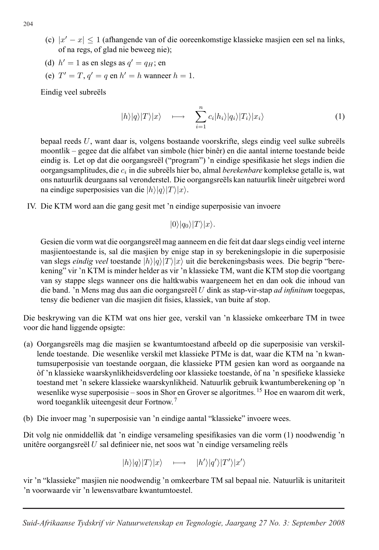- (c)  $|x'-x| < 1$  (afhangende van of die ooreenkomstige klassieke masjien een sel na links, of na regs, of glad nie beweeg nie);
- (d)  $h' = 1$  as en slegs as  $q' = q_H$ ; en
- (e)  $T' = T$ ,  $q' = q$  en  $h' = h$  wanneer  $h = 1$ .

Eindig veel subreëls

$$
|h\rangle|q\rangle|T\rangle|x\rangle \quad \longmapsto \quad \sum_{i=1}^{n} c_i|h_i\rangle|q_i\rangle|T_i\rangle|x_i\rangle \tag{1}
$$

bepaal reeds  $U$ , want daar is, volgens bostaande voorskrifte, slegs eindig veel sulke subreëls moontlik – gegee dat die alfabet van simbole (hier binˆer) en die aantal interne toestande beide eindig is. Let op dat die oorgangsreël ("program") 'n eindige spesifikasie het slegs indien die oorgangsamplitudes, die c<sup>i</sup> in die subre¨els hier bo, almal *berekenbare* komplekse getalle is, wat ons natuurlik deurgaans sal veronderstel. Die oorgangsreëls kan natuurlik lineêr uitgebrei word na eindige superposisies van die  $|h\rangle|q\rangle|T\rangle|x\rangle$ .

IV. Die KTM word aan die gang gesit met 'n eindige superposisie van invoere

$$
|0\rangle|q_{0}\rangle|T\rangle|x\rangle.
$$

Gesien die vorm wat die oorgangsreël mag aanneem en die feit dat daar slegs eindig veel interne masjientoestande is, sal die masjien by enige stap in sy berekeningslopie in die superposisie van slegs *eindig veel* toestande  $|h\rangle|q\rangle|T\rangle|x\rangle$  uit die berekeningsbasis wees. Die begrip "berekening" vir 'n KTM is minder helder as vir 'n klassieke TM, want die KTM stop die voortgang van sy stappe slegs wanneer ons die haltkwabis waargeneem het en dan ook die inhoud van die band. 'n Mens mag dus aan die oorgangsreël U dink as stap-vir-stap *ad infinitum* toegepas, tensy die bediener van die masjien dit fisies, klassiek, van buite af stop.

Die beskrywing van die KTM wat ons hier gee, verskil van 'n klassieke omkeerbare TM in twee voor die hand liggende opsigte:

- (a) Oorgangsreëls mag die masjien se kwantumtoestand afbeeld op die superposisie van verskillende toestande. Die wesenlike verskil met klassieke PTMe is dat, waar die KTM na 'n kwantumsuperposisie van toestande oorgaan, die klassieke PTM gesien kan word as oorgaande na `of 'n klassieke waarskynlikheidsverdeling oor klassieke toestande, `of na 'n spesifieke klassieke toestand met 'n sekere klassieke waarskynlikheid. Natuurlik gebruik kwantumberekening op 'n wesenlike wyse superposisie – soos in Shor en Grover se algoritmes. <sup>15</sup> Hoe en waarom dit werk, word toeganklik uiteengesit deur Fortnow. <sup>7</sup>
- (b) Die invoer mag 'n superposisie van 'n eindige aantal "klassieke" invoere wees.

Dit volg nie onmiddellik dat 'n eindige versameling spesifikasies van die vorm (1) noodwendig 'n unitêre oorgangsreël  $U$  sal definieer nie, net soos wat 'n eindige versameling reëls

 $|h\rangle|q\rangle|T\rangle|x\rangle \quad \longmapsto \quad |h'\rangle|q'\rangle|T'\rangle|x'\rangle$ 

vir 'n "klassieke" masjien nie noodwendig 'n omkeerbare TM sal bepaal nie. Natuurlik is unitariteit 'n voorwaarde vir 'n lewensvatbare kwantumtoestel.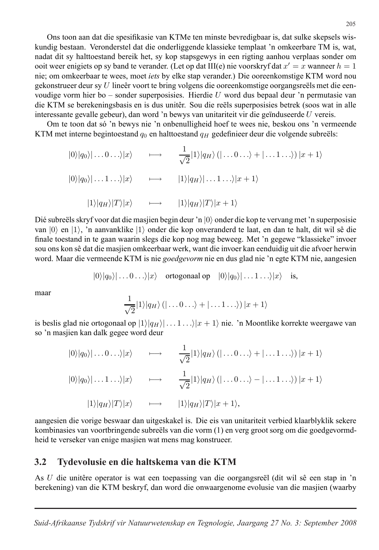Ons toon aan dat die spesifikasie van KTMe ten minste bevredigbaar is, dat sulke skepsels wiskundig bestaan. Veronderstel dat die onderliggende klassieke templaat 'n omkeerbare TM is, wat, nadat dit sy halttoestand bereik het, sy kop stapsgewys in een rigting aanhou verplaas sonder om ooit weer enigiets op sy band te verander. (Let op dat III(e) nie voorskryf dat  $x' = x$  wanneer  $h = 1$ nie; om omkeerbaar te wees, moet *iets* by elke stap verander.) Die ooreenkomstige KTM word nou gekonstrueer deur sy  $U$  lineêr voort te bring volgens die ooreenkomstige oorgangsreëls met die eenvoudige vorm hier bo – sonder superposisies. Hierdie  $U$  word dus bepaal deur 'n permutasie van die KTM se berekeningsbasis en is dus unitêr. Sou die reëls superposisies betrek (soos wat in alle interessante gevalle gebeur), dan word 'n bewys van unitariteit vir die geïnduseerde  $U$  vereis.

Om te toon dat só 'n bewys nie 'n onbenulligheid hoef te wees nie, beskou ons 'n vermeende KTM met interne begintoestand  $q_0$  en halttoestand  $q_H$  gedefinieer deur die volgende subreëls:

$$
|0\rangle|q_{0}\rangle|\ldots 0 \ldots\rangle|x\rangle \qquad \longmapsto \qquad \frac{1}{\sqrt{2}}|1\rangle|q_{H}\rangle\left(|\ldots 0 \ldots\rangle + |\ldots 1 \ldots\rangle\right)|x+1\rangle
$$

$$
|0\rangle|q_{0}\rangle|\ldots 1 \ldots\rangle|x\rangle \qquad \longmapsto \qquad |1\rangle|q_{H}\rangle|\ldots 1 \ldots\rangle|x+1\rangle
$$

$$
|1\rangle|q_{H}\rangle|T\rangle|x\rangle \qquad \longmapsto \qquad |1\rangle|q_{H}\rangle|T\rangle|x+1\rangle
$$

Dié subreëls skryf voor dat die masjien begin deur 'n  $|0\rangle$  onder die kop te vervang met 'n superposisie van  $|0\rangle$  en  $|1\rangle$ , 'n aanvanklike  $|1\rangle$  onder die kop onveranderd te laat, en dan te halt, dit wil sê die finale toestand in te gaan waarin slegs die kop nog mag beweeg. Met 'n gegewe "klassieke" invoer sou ons kon sê dat die masjien omkeerbaar werk, want die invoer kan eenduidig uit die afvoer herwin word. Maar die vermeende KTM is nie *goedgevorm* nie en dus glad nie 'n egte KTM nie, aangesien

 $|0\rangle|q_0\rangle| \dots 0 \dots \rangle|x\rangle$  ortogonaal op  $|0\rangle|q_0\rangle| \dots 1 \dots \rangle|x\rangle$  is,

maar

$$
\frac{1}{\sqrt{2}}|1\rangle|q_{H}\rangle\left(|\ldots 0\ldots\rangle+|\ldots 1\ldots\rangle\right)|x+1\rangle
$$

is beslis glad nie ortogonaal op  $|1\rangle|q_H\rangle| \dots 1 \dots \rangle|x + 1\rangle$  nie. 'n Moontlike korrekte weergawe van so 'n masjien kan dalk gegee word deur

$$
|0\rangle|q_{0}\rangle|\ldots 0 \ldots\rangle|x\rangle \qquad \longmapsto \qquad \frac{1}{\sqrt{2}}|1\rangle|q_{H}\rangle\langle|\ldots 0 \ldots\rangle + |\ldots 1 \ldots\rangle\rangle|x+1\rangle
$$

$$
|0\rangle|q_{0}\rangle|\ldots 1 \ldots\rangle|x\rangle \qquad \longmapsto \qquad \frac{1}{\sqrt{2}}|1\rangle|q_{H}\rangle\langle|\ldots 0 \ldots\rangle - |\ldots 1 \ldots\rangle\rangle|x+1\rangle
$$

$$
|1\rangle|q_{H}\rangle|T\rangle|x\rangle \qquad \longmapsto \qquad |1\rangle|q_{H}\rangle|T\rangle|x+1\rangle,
$$

aangesien die vorige beswaar dan uitgeskakel is. Die eis van unitariteit verbied klaarblyklik sekere kombinasies van voortbringende subreëls van die vorm (1) en verg groot sorg om die goedgevormdheid te verseker van enige masjien wat mens mag konstrueer.

#### **3.2. Tydevolusie en die haltskema van die KTM 3.2 Tydevolusie en die haltskema van die KTM**

As U die unitêre operator is wat een toepassing van die oorgangsreël (dit wil sê een stap in 'n berekening) van die KTM beskryf, dan word die onwaargenome evolusie van die masjien (waarby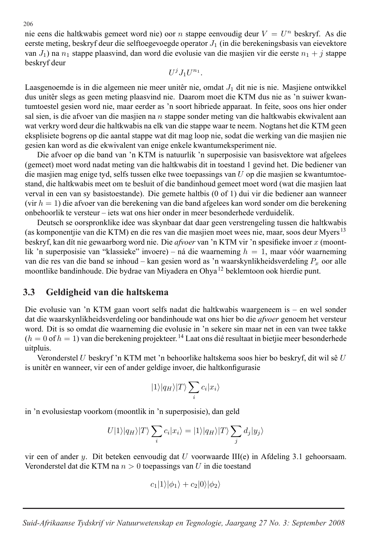nie eens die haltkwabis gemeet word nie) oor n stappe eenvoudig deur  $V = U^n$  beskryf. As die eerste meting, beskryf deur die selftoegevoegde operator  $J_1$  (in die berekeningsbasis van eievektore van  $J_1$ ) na  $n_1$  stappe plaasvind, dan word die evolusie van die masjien vir die eerste  $n_1 + j$  stappe beskryf deur

 $U^jJ_1U^{n_1}$ .

Laasgenoemde is in die algemeen nie meer unitêr nie, omdat  $J_1$  dit nie is nie. Masjiene ontwikkel dus unitêr slegs as geen meting plaasvind nie. Daarom moet die KTM dus nie as 'n suiwer kwantumtoestel gesien word nie, maar eerder as 'n soort hibriede apparaat. In feite, soos ons hier onder sal sien, is die afvoer van die masjien na  $n$  stappe sonder meting van die haltkwabis ekwivalent aan wat verkry word deur die haltkwabis na elk van die stappe waar te neem. Nogtans het die KTM geen eksplisiete bogrens op die aantal stappe wat dit mag loop nie, sodat die werking van die masjien nie gesien kan word as die ekwivalent van enige enkele kwantumeksperiment nie.

Die afvoer op die band van 'n KTM is natuurlik 'n superposisie van basisvektore wat afgelees (gemeet) moet word nadat meting van die haltkwabis dit in toestand 1 gevind het. Die bediener van die masjien mag enige tyd, selfs tussen elke twee toepassings van  $U$  op die masjien se kwantumtoestand, die haltkwabis meet om te besluit of die bandinhoud gemeet moet word (wat die masjien laat verval in een van sy basistoestande). Die gemete haltbis (0 of 1) dui vir die bediener aan wanneer (vir  $h = 1$ ) die afvoer van die berekening van die band afgelees kan word sonder om die berekening onbehoorlik te versteur – iets wat ons hier onder in meer besonderhede verduidelik.

Deutsch se oorspronklike idee was skynbaar dat daar geen verstrengeling tussen die haltkwabis (as komponentjie van die KTM) en die res van die masjien moet wees nie, maar, soos deur Myers <sup>13</sup> beskryf, kan d´ıt nie gewaarborg word nie. Die *afvoer* van 'n KTM vir 'n spesifieke invoer x (moontlik 'n superposisie van "klassieke" invoere) – ná die waarneming  $h = 1$ , maar vóór waarneming van die res van die band se inhoud – kan gesien word as 'n waarskynlikheidsverdeling  $P_x$  oor alle moontlike bandinhoude. Die bydrae van Miyadera en Ohya <sup>12</sup> beklemtoon ook hierdie punt.

### **3.3. Geldigheid van die haltskema 3.3 Geldigheid van die haltskema**

Die evolusie van 'n KTM gaan voort selfs nadat die haltkwabis waargeneem is – en wel sonder dat die waarskynlikheidsverdeling oor bandinhoude wat ons hier bo die *afvoer* genoem het versteur word. Dit is so omdat die waarneming die evolusie in 'n sekere sin maar net in een van twee takke  $(h = 0$  of  $h = 1)$  van die berekening projekteer. <sup>14</sup> Laat ons dié resultaat in bietjie meer besonderhede uitpluis.

Veronderstel U beskryf 'n KTM met 'n behoorlike haltskema soos hier bo beskryf, dit wil sê U is unitêr en wanneer, vir een of ander geldige invoer, die haltkonfigurasie

$$
|1\rangle|q_{H}\rangle|T\rangle\sum_{i}c_{i}|x_{i}\rangle
$$

in 'n evolusiestap voorkom (moontlik in 'n superposisie), dan geld

$$
U|1\rangle|q_H\rangle|T\rangle\sum_i c_i|x_i\rangle=|1\rangle|q_H\rangle|T\rangle\sum_j d_j|y_j\rangle
$$

vir een of ander y. Dit beteken eenvoudig dat U voorwaarde III $(e)$  in Afdeling 3.1 gehoorsaam. Veronderstel dat die KTM na  $n > 0$  toepassings van U in die toestand

$$
c_1|1\rangle|\phi_1\rangle+c_2|0\rangle|\phi_2\rangle
$$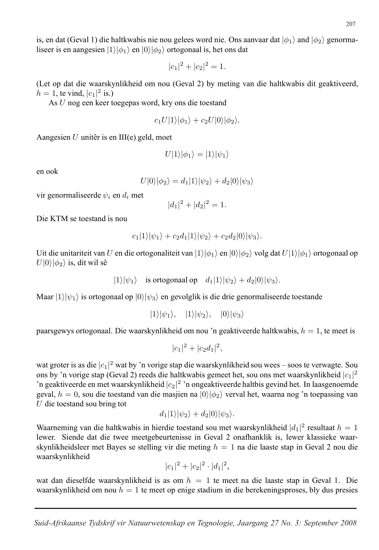is, en dat (Geval 1) die haltkwabis nie nou gelees word nie. Ons aanvaar dat  $|\phi_1\rangle$  and  $|\phi_2\rangle$  genormaliseer is en aangesien  $|1\rangle|\phi_1\rangle$  en  $|0\rangle|\phi_2\rangle$  ortogonaal is, het ons dat

$$
|c_1|^2 + |c_2|^2 = 1.
$$

(Let op dat die waarskynlikheid om nou (Geval 2) by meting van die haltkwabis dit geaktiveerd,  $h = 1$ , te vind,  $|c_1|^2$  is.)

As U nog een keer toegepas word, kry ons die toestand

$$
c_1U|1\rangle|\phi_1\rangle+c_2U|0\rangle|\phi_2\rangle.
$$

Aangesien  $U$  unitêr is en III(e) geld, moet

$$
U|1\rangle|\phi_1\rangle=|1\rangle|\psi_1\rangle
$$

en ook

$$
U|0\rangle|\phi_2\rangle = d_1|1\rangle|\psi_2\rangle + d_2|0\rangle|\psi_3\rangle
$$

vir genormaliseerde  $\psi_i$  en  $d_i$  met

$$
|d_1|^2 + |d_2|^2 = 1.
$$

Die KTM se toestand is nou

$$
c_1|1\rangle|\psi_1\rangle+c_2d_1|1\rangle|\psi_2\rangle+c_2d_2|0\rangle|\psi_3\rangle.
$$

Uit die unitariteit van U en die ortogonaliteit van  $|1\rangle |\phi_1\rangle$  en  $|0\rangle |\phi_2\rangle$  volg dat  $U|1\rangle |\phi_1\rangle$  ortogonaal op  $U|0\rangle|\phi_2\rangle$  is, dit wil sê

```
|1\rangle|\psi_1\rangle is ortogonaal op d_1|1\rangle|\psi_2\rangle + d_2|0\rangle|\psi_3\rangle.
```
Maar  $|1\rangle|\psi_1\rangle$  is ortogonaal op  $|0\rangle|\psi_3\rangle$  en gevolglik is die drie genormaliseerde toestande

 $|1\rangle|\psi_1\rangle, |1\rangle|\psi_2\rangle, |0\rangle|\psi_3\rangle$ 

paarsgewys ortogonaal. Die waarskynlikheid om nou 'n geaktiveerde haltkwabis,  $h = 1$ , te meet is

 $|c_1|^2 + |c_2d_1|^2$ ,

wat groter is as die  $|c_1|^2$  wat by 'n vorige stap die waarskynlikheid sou wees – soos te verwagte. Sou ons by 'n vorige stap (Geval 2) reeds die haltkwabis gemeet het, sou ons met waarskynlikheid  $|c_1|^2$ 'n geaktiveerde en met waarskynlikheid |c<sub>2</sub>|<sup>2</sup> 'n ongeaktiveerde haltbis gevind het. In laasgenoemde geval,  $h = 0$ , sou die toestand van die masjien na  $|0\rangle|\phi_2\rangle$  verval het, waarna nog 'n toepassing van  $U$  die toestand sou bring tot

$$
d_1|1\rangle|\psi_2\rangle + d_2|0\rangle|\psi_3\rangle.
$$

Waarneming van die haltkwabis in hierdie toestand sou met waarskynlikheid  $|d_1|^2$  resultaat  $h = 1$ lewer. Siende dat die twee meetgebeurtenisse in Geval 2 onafhanklik is, lewer klassieke waarskynlikheidsleer met Bayes se stelling vir die meting  $h = 1$  na die laaste stap in Geval 2 nou die waarskynlikheid

$$
|c_1|^2 + |c_2|^2 \cdot |d_1|^2,
$$

wat dan dieselfde waarskynlikheid is as om  $h = 1$  te meet na die laaste stap in Geval 1. Die waarskynlikheid om nou  $h = 1$  te meet op enige stadium in die berekeningsproses, bly dus presies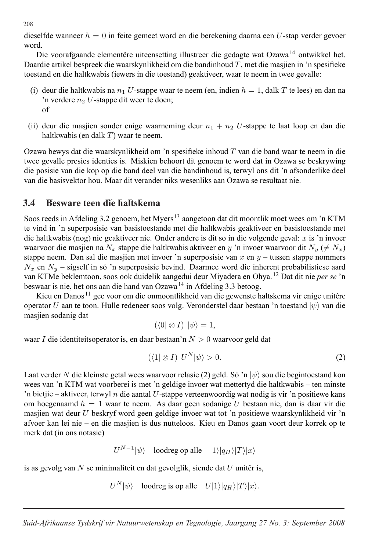dieselfde wanneer  $h = 0$  in feite gemeet word en die berekening daarna een U-stap verder gevoer word.

Die voorafgaande elementêre uiteensetting illustreer die gedagte wat Ozawa<sup>14</sup> ontwikkel het. Daardie artikel bespreek die waarskynlikheid om die bandinhoud  $T$ , met die masjien in 'n spesifieke toestand en die haltkwabis (iewers in die toestand) geaktiveer, waar te neem in twee gevalle:

- (i) deur die haltkwabis na  $n_1 U$ -stappe waar te neem (en, indien  $h = 1$ , dalk T te lees) en dan na 'n verdere  $n_2$  U-stappe dit weer te doen; of
- (ii) deur die masjien sonder enige waarneming deur  $n_1 + n_2$  U-stappe te laat loop en dan die haltkwabis (en dalk  $T$ ) waar te neem.

Ozawa bewys dat die waarskynlikheid om 'n spesifieke inhoud T van die band waar te neem in die twee gevalle presies identies is. Miskien behoort dit genoem te word dat in Ozawa se beskrywing die posisie van die kop op die band deel van die bandinhoud is, terwyl ons dit 'n afsonderlike deel van die basisvektor hou. Maar dit verander niks wesenliks aan Ozawa se resultaat nie.

#### **3.4. Besware teen die haltskema 3.4 Besware teen die haltskema**

Soos reeds in Afdeling 3.2 genoem, het Myers<sup>13</sup> aangetoon dat dit moontlik moet wees om 'n KTM te vind in 'n superposisie van basistoestande met die haltkwabis geaktiveer en basistoestande met die haltkwabis (nog) nie geaktiveer nie. Onder andere is dit so in die volgende geval: x is 'n invoer waarvoor die masjien na  $N_x$  stappe die haltkwabis aktiveer en y 'n invoer waarvoor dit  $N_y \neq N_x$ ) stappe neem. Dan sal die masjien met invoer 'n superposisie van  $x$  en  $y$  – tussen stappe nommers  $N_x$  en  $N_y$  – sigself in só 'n superposisie bevind. Daarmee word die inherent probabilistiese aard van KTMe beklemtoon, soos ook duidelik aangedui deur Miyadera en Ohya. <sup>12</sup> Dat dit nie *per se* 'n beswaar is nie, het ons aan die hand van Ozawa <sup>14</sup> in Afdeling 3.3 betoog.

Kieu en Danos  $11$  gee voor om die onmoontlikheid van die gewenste haltskema vir enige unitêre operator U aan te toon. Hulle redeneer soos volg. Veronderstel daar bestaan 'n toestand  $|\psi\rangle$  van die masjien sodanig dat

$$
(\langle 0 | \otimes I) | \psi \rangle = 1,
$$

waar I die identiteitsoperator is, en daar bestaan'n  $N > 0$  waarvoor geld dat

$$
(\langle 1 | \otimes I) \, U^N | \psi \rangle > 0. \tag{2}
$$

Laat verder N die kleinste getal wees waarvoor relasie (2) geld. Só 'n  $|\psi\rangle$  sou die begintoestand kon wees van 'n KTM wat voorberei is met 'n geldige invoer wat mettertyd die haltkwabis – ten minste 'n bietjie – aktiveer, terwyl n die aantal U-stappe verteenwoordig wat nodig is vir 'n positiewe kans om hoegenaamd  $h = 1$  waar te neem. As daar geen sodanige U bestaan nie, dan is daar vir die masjien wat deur U beskryf word geen geldige invoer wat tot 'n positiewe waarskynlikheid vir 'n afvoer kan lei nie – en die masjien is dus nutteloos. Kieu en Danos gaan voort deur korrek op te merk dat (in ons notasie)

$$
U^{N-1}|\psi\rangle\quad\text{loodreg op alle}\quad|1\rangle|q_H\rangle|T\rangle|x\rangle
$$

is as gevolg van  $N$  se minimaliteit en dat gevolglik, siende dat  $U$  unitêr is,

```
U^N|\psi\rangle loodreg is op alle U|1\rangle|q_H\rangle|T\rangle|x\rangle.
```
*Suid-Afrikaanse Tydskrif vir Natuurwetenskap en Tegnologie, Jaargang 27 No. 3: September 2008*

208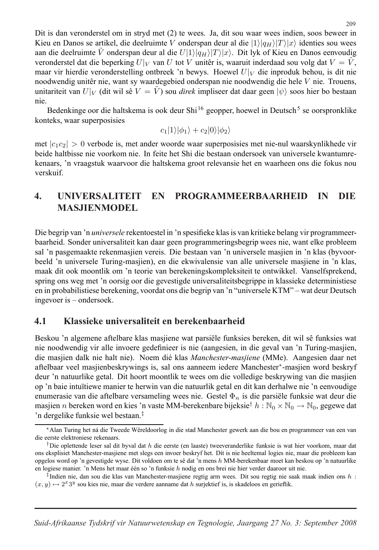Dit is dan veronderstel om in stryd met (2) te wees. Ja, dit sou waar wees indien, soos beweer in Kieu en Danos se artikel, die deelruimte V onderspan deur al die  $|1\rangle|q_H\rangle|T\rangle|x\rangle$  identies sou wees aan die deelruimte  $\tilde{V}$  onderspan deur al die  $U(1)|q_H\rangle|T\rangle|x\rangle$ . Dit lyk of Kieu en Danos eenvoudig veronderstel dat die beperking  $U|_V$  van U tot V unitêr is, waaruit inderdaad sou volg dat  $V = V$ , maar vir hierdie veronderstelling ontbreek 'n bewys. Hoewel  $U|_V$  die inproduk behou, is dit nie noodwendig unitêr nie, want sy waardegebied onderspan nie noodwendig die hele  $V$  nie. Trouens, unitariteit van  $U|_V$  (dit wil sê  $V = \dot{V}$ ) sou *direk* impliseer dat daar geen  $|\psi\rangle$  soos hier bo bestaan nie.

Bedenkinge oor die haltskema is ook deur Shi<sup>16</sup> geopper, hoewel in Deutsch<sup>5</sup> se oorspronklike konteks, waar superposisies

$$
c_1|1\rangle|\phi_1\rangle+c_2|0\rangle|\phi_2\rangle
$$

met  $|c_1c_2| > 0$  verbode is, met ander woorde waar superposisies met nie-nul waarskynlikhede vir beide haltbisse nie voorkom nie. In feite het Shi die bestaan ondersoek van universele kwantumrekenaars, 'n vraagstuk waarvoor die haltskema groot relevansie het en waarheen ons die fokus nou verskuif.

# **4. UNIVERSALITEIT EN PROGRAMMEERBAARHEID IN 4. UNIVERSALITEIT EN PROGRAMMEERBAARHEID IN DIE**  $$

Die begrip van 'n *universele* rekentoestel in 'n spesifieke klas is van kritieke belang vir programmeerbaarheid. Sonder universaliteit kan daar geen programmeringsbegrip wees nie, want elke probleem sal 'n pasgemaakte rekenmasjien vereis. Die bestaan van 'n universele masjien in 'n klas (byvoorbeeld 'n universele Turing-masjien), en die ekwivalensie van alle universele masjiene in 'n klas, maak dit ook moontlik om 'n teorie van berekeningskompleksiteit te ontwikkel. Vanselfsprekend, spring ons weg met 'n oorsig oor die gevestigde universaliteitsbegrippe in klassieke deterministiese en in probabilistiese berekening, voordat ons die begrip van 'n "universele KTM" – wat deur Deutsch ingevoer is – ondersoek.

### **4.1. Klassieke universaliteit en berekenbaarheid 4.1 Klassieke universaliteit en berekenbaarheid**

Beskou 'n algemene aftelbare klas masjiene wat parsiële funksies bereken, dit wil sê funksies wat nie noodwendig vir alle invoere gedefinieer is nie (aangesien, in die geval van 'n Turing-masjien, die masjien dalk nie halt nie). Noem dié klas *Manchester-masjiene* (MMe). Aangesien daar net aftelbaar veel masjienbeskrywings is, sal ons aanneem iedere Manchester∗-masjien word beskryf deur 'n natuurlike getal. Dit hoort moontlik te wees om die volledige beskrywing van die masjien op 'n baie intu¨ıtiewe manier te herwin van die natuurlik getal en dit kan derhalwe nie 'n eenvoudige enumerasie van die aftelbare versameling wees nie. Gestel  $\Phi_n$  is die parsiële funksie wat deur die masjien n bereken word en kies 'n vaste MM-berekenbare bijeksie<sup>†</sup> h :  $\mathbb{N}_0 \times \mathbb{N}_0 \to \mathbb{N}_0$ , gegewe dat 'n dergelike funksie wel bestaan.‡

<sup>∗</sup>Alan Turing het n´a die Tweede Wˆereldoorlog in die stad Manchester gewerk aan die bou en programmeer van een van die eerste elektroniese rekenaars.

<sup>&</sup>lt;sup>†</sup>Die oplettende leser sal dit byval dat h die eerste (en laaste) tweeveranderlike funksie is wat hier voorkom, maar dat ons eksplisiet Manchester-masjiene met slegs een invoer beskryf het. Dít is nie heeltemal logies nie, maar die probleem kan opgelos word op 'n gevestigde wyse. Dit voldoen om te sê dat 'n mens h MM-berekenbaar moet kan beskou op 'n natuurlike en logiese manier. 'n Mens het maar één so 'n funksie h nodig en ons brei nie hier verder daaroor uit nie.

 $\ddagger$ Indien nie, dan sou die klas van Manchester-masjiene regtig arm wees. Dit sou regtig nie saak maak indien ons h:  $(x, y) \mapsto 2^{x}3^{y}$  sou kies nie, maar die verdere aanname dat h surjektief is, is skadeloos en gerieflik.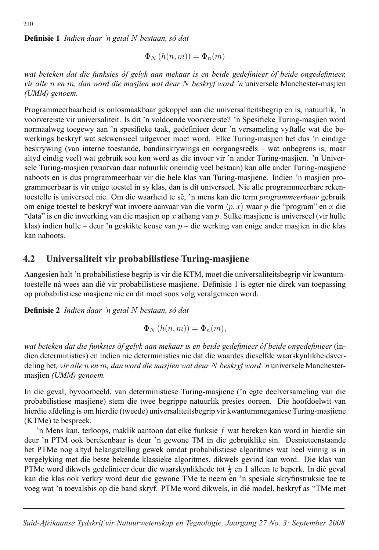**Definisie 1** *Indien daar 'n getal* N *bestaan, so dat ´*

$$
\Phi_N\left(h(n,m)\right) = \Phi_n(m)
$$

*wat beteken dat die funksies of gelyk aan mekaar is en beide gedefinieer ` of beide ongedefinieer, ` vir alle* n *en* m*, dan word die masjien wat deur* N *beskryf word 'n* universele Manchester-masjien *(UMM) genoem.*

Programmeerbaarheid is onlosmaakbaar gekoppel aan die universaliteitsbegrip en is, natuurlik, 'n voorvereiste vir universaliteit. Is dit 'n voldoende voorvereiste? 'n Spesifieke Turing-masjien word normaalweg toegewy aan 'n spesifieke taak, gedefinieer deur 'n versameling vyftalle wat die bewerkings beskryf wat sekwensieel uitgevoer moet word. Elke Turing-masjien het dus 'n eindige beskrywing (van interne toestande, bandinskrywings en oorgangsreëls – wat onbegrens is, maar altyd eindig veel) wat gebruik sou kon word as die invoer vir 'n ander Turing-masjien. 'n Universele Turing-masjien (waarvan daar natuurlik oneindig veel bestaan) kan alle ander Turing-masjiene naboots en is dus programmeerbaar vir die hele klas van Turing-masjiene. Indien 'n masjien programmeerbaar is vir enige toestel in sy klas, dan is dit universeel. Nie alle programmeerbare rekentoestelle is universeel nie. Om die waarheid te sê, 'n mens kan die term *programmeerbaar* gebruik om enige toestel te beskryf wat invoere aanvaar van die vorm  $\langle p, x \rangle$  waar p die "program" en x die "data" is en die inwerking van die masjien op x afhang van p. Sulke masjiene is universeel (vir hulle klas) indien hulle – deur 'n geskikte keuse van  $p$  – die werking van enige ander masjien in die klas kan naboots.

#### **4.2. Universaliteit vir probabilistiese Turing-masjiene 4.2 Universaliteit vir probabilistiese Turing-masjiene**

Aangesien halt 'n probabilistiese begrip is vir die KTM, moet die universaliteitsbegrip vir kwantumtoestelle ná wees aan dié vir probabilistiese masjiene. Definisie 1 is egter nie direk van toepassing op probabilistiese masjiene nie en dit moet soos volg veralgemeen word.

**Definisie 2** *Indien daar 'n getal* N *bestaan, so dat ´*

$$
\Phi_N(h(n,m)) = \Phi_n(m),
$$

*wat beteken dat die funksies of gelyk aan mekaar is en beide gedefinieer ` of beide ongedefinieer `* (indien deterministies) en indien nie deterministies nie dat die waardes dieselfde waarskynlikheidsverdeling het*, vir alle* n *en* m*, dan word die masjien wat deur* N *beskryf word 'n* universele Manchestermasjien *(UMM) genoem.*

In die geval, byvoorbeeld, van deterministiese Turing-masjiene ('n egte deelversameling van die probabilistiese masjiene) stem die twee begrippe natuurlik presies ooreen. Die hoofdoelwit van hierdie afdeling is om hierdie (tweede) universaliteitsbegrip vir kwantummeganiese Turing-masjiene (KTMe) te bespreek.

'n Mens kan, terloops, maklik aantoon dat elke funksie f wat bereken kan word in hierdie sin deur 'n PTM ook berekenbaar is deur 'n gewone TM in die gebruiklike sin. Desnieteenstaande het PTMe nog altyd belangstelling gewek omdat probabilistiese algoritmes wat heel vinnig is in vergelyking met die beste bekende klassieke algoritmes, dikwels gevind kan word. Die klas van PTMe word dikwels gedefinieer deur die waarskynlikhede tot  $\frac{1}{2}$  en 1 alleen te beperk. In dié geval kan die klas ook verkry word deur die gewone TMe te neem en 'n spesiale skryfinstruksie toe te voeg wat 'n toevalsbis op die band skryf. PTMe word dikwels, in dié model, beskryf as "TMe met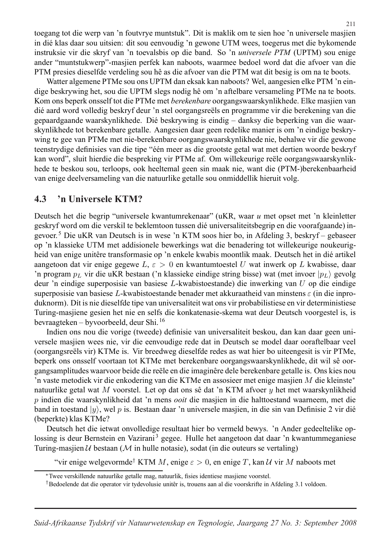toegang tot die werp van 'n foutvrye muntstuk". Dit is maklik om te sien hoe 'n universele masjien in di´e klas daar sou uitsien: dit sou eenvoudig 'n gewone UTM wees, toegerus met die bykomende instruksie vir die skryf van 'n toevalsbis op die band. So 'n *universele PTM* (UPTM) sou enige ander "muntstukwerp"-masjien perfek kan naboots, waarmee bedoel word dat die afvoer van die PTM presies dieselfde verdeling sou hê as die afvoer van die PTM wat dit besig is om na te boots.

Watter algemene PTMe sou ons UPTM dan eksak kan naboots? Wel, aangesien elke PTM 'n eindige beskrywing het, sou die UPTM slegs nodig hê om 'n aftelbare versameling PTMe na te boots. Kom ons beperk onsself tot die PTMe met *berekenbare* oorgangswaarskynlikhede. Elke masjien van dié aard word volledig beskryf deur 'n stel oorgangsreëls en programme vir die berekening van die gepaardgaande waarskynlikhede. Dié beskrywing is eindig – danksy die beperking van die waarskynlikhede tot berekenbare getalle. Aangesien daar geen redelike manier is om 'n eindige beskrywing te gee van PTMe met nie-berekenbare oorgangswaarskynlikhede nie, behalwe vir die gewone teenstrydige definisies van die tipe "één meer as die grootste getal wat met dertien woorde beskryf kan word", sluit hierdie die bespreking vir PTMe af. Om willekeurige reële oorgangswaarskynlikhede te beskou sou, terloops, ook heeltemal geen sin maak nie, want die (PTM-)berekenbaarheid van enige deelversameling van die natuurlike getalle sou onmiddellik hieruit volg.

### **4.3. 'n Universele KTM? 4.3 'n Universele KTM?**

Deutsch het die begrip "universele kwantumrekenaar" (uKR, waar *u* met opset met 'n kleinletter geskryf word om die verskil te beklemtoon tussen dié universaliteitsbegrip en die voorafgaande) ingevoer. <sup>5</sup> Die uKR van Deutsch is in wese 'n KTM soos hier bo, in Afdeling 3, beskryf – gebaseer op 'n klassieke UTM met addisionele bewerkings wat die benadering tot willekeurige noukeurigheid van enige unitêre transformasie op 'n enkele kwabis moontlik maak. Deutsch het in dié artikel aangetoon dat vir enige gegewe  $L, \varepsilon > 0$  en kwantumtoestel U wat inwerk op L kwabisse, daar 'n program  $p_L$  vir die uKR bestaan ('n klassieke eindige string bisse) wat (met invoer  $|p_L\rangle$  gevolg deur 'n eindige superposisie van basiese L-kwabistoestande) die inwerking van U op die eindige superposisie van basiese L-kwabistoestande benader met akkuraatheid van minstens  $\varepsilon$  (in die inproduknorm). Dit is nie dieselfde tipe van universaliteit wat ons vir probabilistiese en vir deterministiese Turing-masjiene gesien het nie en selfs die konkatenasie-skema wat deur Deutsch voorgestel is, is bevraagteken – byvoorbeeld, deur Shi. <sup>16</sup>

Indien ons nou die vorige (tweede) definisie van universaliteit beskou, dan kan daar geen universele masjien wees nie, vir die eenvoudige rede dat in Deutsch se model daar ooraftelbaar veel (oorgangsreëls vir) KTMe is. Vir breedweg dieselfde redes as wat hier bo uiteengesit is vir PTMe, beperk ons onsself voortaan tot KTMe met berekenbare oorgangswaarskynlikhede, dit wil sê oorgangsamplitudes waarvoor beide die reële en die imaginêre dele berekenbare getalle is. Ons kies nou 'n vaste metodiek vir die enkodering van die KTMe en assosieer met enige masjien M die kleinste<sup>∗</sup> natuurlike getal wat M voorstel. Let op dat ons sê dat 'n KTM afvoer  $y$  het met waarskynlikheid p indien die waarskynlikheid dat 'n mens *ooit* die masjien in die halttoestand waarneem, met die band in toestand  $|y\rangle$ , wel p is. Bestaan daar 'n universele masjien, in die sin van Definisie 2 vir dié (beperkte) klas KTMe?

Deutsch het die ietwat onvolledige resultaat hier bo vermeld bewys. 'n Ander gedeeltelike oplossing is deur Bernstein en Vazirani<sup>3</sup> gegee. Hulle het aangetoon dat daar 'n kwantummeganiese Turing-masjien  $U$  bestaan ( $M$  in hulle notasie), sodat (in die outeurs se vertaling)

"vir enige welgevormde<sup>†</sup> KTM M, enige  $\varepsilon > 0$ , en enige T, kan U vir M naboots met

<sup>∗</sup>Twee verskillende natuurlike getalle mag, natuurlik, fisies identiese masjiene voorstel.

<sup>&</sup>lt;sup>†</sup>Bedoelende dat die operator vir tydevolusie unitêr is, trouens aan al die voorskrifte in Afdeling 3.1 voldoen.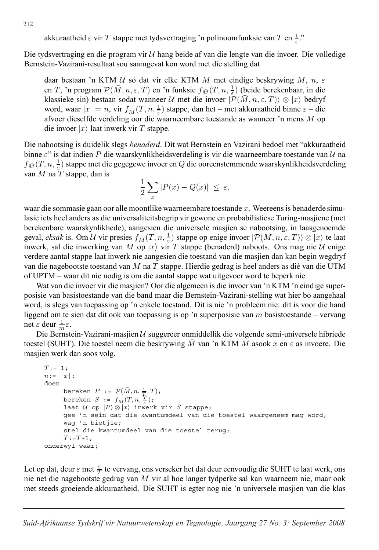akkuraatheid  $\varepsilon$  vir T stappe met tydsvertraging 'n polinoomfunksie van T en  $\frac{1}{\varepsilon}$ ."

Die tydsvertraging en die program vir  $U$  hang beide af van die lengte van die invoer. Die volledige Bernstein-Vazirani-resultaat sou saamgevat kon word met die stelling dat

daar bestaan 'n KTM  $U$  só dat vir elke KTM M met eindige beskrywing  $\overline{M}$ ,  $n$ ,  $\varepsilon$ en T, 'n program  $\mathcal{P}(\bar{M}, n, \varepsilon, T)$  en 'n funksie  $f_{\bar{M}}(T, n, \frac{1}{\varepsilon})$  (beide berekenbaar, in die klassieke sin) bestaan sodat wanneer U met die invoer  $|\mathcal{P}(\bar{M}, n, \varepsilon, T)\rangle \otimes |x\rangle$  bedryf word, waar  $|x| = n$ , vir  $f_{\bar{M}}(T, n, \frac{1}{\varepsilon})$  stappe, dan het – met akkuraatheid binne  $\varepsilon$  – die afvoer dieselfde verdeling oor die waarneembare toestande as wanneer 'n mens M op die invoer  $|x\rangle$  laat inwerk vir T stappe.

Die nabootsing is duidelik slegs *benaderd*. Dít wat Bernstein en Vazirani bedoel met "akkuraatheid binne  $\varepsilon$ " is dat indien P die waarskynlikheidsverdeling is vir die waarneembare toestande van  $\mathcal{U}$  na  $f_{\bar{M}}(T,n,\frac{1}{\varepsilon})$  stappe met die gegegewe invoer en  $Q$  die ooreenstemmende waarskynlikheidsverdeling van  $M$  na  $T$  stappe, dan is

$$
\frac{1}{2}\sum_{x}|P(x)-Q(x)| \leq \varepsilon,
$$

waar die sommasie gaan oor alle moontlike waarneembare toestande x. Weereens is benaderde simulasie iets heel anders as die universaliteitsbegrip vir gewone en probabilistiese Turing-masjiene (met berekenbare waarskynlikhede), aangesien die universele masjien se nabootsing, in laasgenoemde geval, *eksak* is. Om U vir presies  $f_{\bar{M}}(T, n, \frac{1}{\varepsilon})$  stappe op enige invoer  $|\mathcal{P}(\bar{M}, n, \varepsilon, T)\rangle \otimes |x\rangle$  te laat inwerk, sal die inwerking van M op  $|x\rangle$  vir T stappe (benaderd) naboots. Ons mag nie U enige verdere aantal stappe laat inwerk nie aangesien die toestand van die masjien dan kan begin wegdryf van die nagebootste toestand van M na T stappe. Hierdie gedrag is heel anders as dié van die UTM of UPTM – waar dit nie nodig is om die aantal stappe wat uitgevoer word te beperk nie.

Wat van die invoer vir die masjien? Oor die algemeen is die invoer van 'n KTM 'n eindige superposisie van basistoestande van die band maar die Bernstein-Vazirani-stelling wat hier bo aangehaal word, is slegs van toepassing op 'n enkele toestand. Dit is nie 'n probleem nie: dit is voor die hand liggend om te sien dat dit ook van toepassing is op 'n superposisie van  $m$  basistoestande – vervang net  $\varepsilon$  deur  $\frac{1}{m}\varepsilon$ .

Die Bernstein-Vazirani-masjien  $U$  suggereer onmiddellik die volgende semi-universele hibriede toestel (SUHT). Dié toestel neem die beskrywing M van 'n KTM M asook x en  $\varepsilon$  as invoere. Die masjien werk dan soos volg.

```
T:=[1;n:= |x|;doen
       bereken P := \mathcal{P}(\bar{M}, n, \frac{\varepsilon}{T}, T);
       bereken S := f_{\bar{M}}(T, n, \frac{T}{\varepsilon});laat U op |P\rangle \otimes |x\rangle inwerk vir S stappe;
      gee 'n sein dat die kwantumdeel van die toestel waargeneem mag word;
      wag 'n bietjie;
      stel die kwantumdeel van die toestel terug;
      T:={T+1};
onderwyl waar;
```
Let op dat, deur  $\varepsilon$  met  $\frac{\varepsilon}{T}$  te vervang, ons verseker het dat deur eenvoudig die SUHT te laat werk, ons nie net die nagebootste gedrag van M vir al hoe langer tydperke sal kan waarneem nie, maar ook met steeds groeiende akkuraatheid. Die SUHT is egter nog nie 'n universele masjien van die klas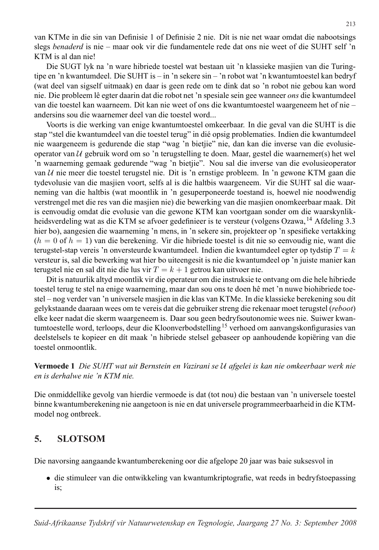van KTMe in die sin van Definisie 1 of Definisie 2 nie. Dít is nie net waar omdat die nabootsings slegs *benaderd* is nie – maar ook vir die fundamentele rede dat ons nie weet of die SUHT self 'n KTM is al dan nie!

Die SUGT lyk na 'n ware hibriede toestel wat bestaan uit 'n klassieke masjien van die Turingtipe en 'n kwantumdeel. Die SUHT is – in 'n sekere sin – 'n robot wat 'n kwantumtoestel kan bedryf (wat deel van sigself uitmaak) en daar is geen rede om te dink dat so 'n robot nie gebou kan word nie. Die probleem lê egter daarin dat die robot net 'n spesiale sein gee wanneer *ons* die kwantumdeel van die toestel kan waarneem. Dit kan nie weet of ons die kwantumtoestel waargeneem het of nie – andersins sou die waarnemer deel van die toestel word...

Voorts is die werking van enige kwantumtoestel omkeerbaar. In die geval van die SUHT is die stap "stel die kwantumdeel van die toestel terug" in dié opsig problematies. Indien die kwantumdeel nie waargeneem is gedurende die stap "wag 'n bietjie" nie, dan kan die inverse van die evolusieoperator van  $U$  gebruik word om so 'n terugstelling te doen. Maar, gestel die waarnemer(s) het wel 'n waarneming gemaak gedurende "wag 'n bietjie". Nou sal die inverse van die evolusieoperator van  $U$  nie meer die toestel terugstel nie. Dit is 'n ernstige probleem. In 'n gewone KTM gaan die tydevolusie van die masjien voort, selfs al is die haltbis waargeneem. Vir die SUHT sal die waarneming van die haltbis (wat moontlik in 'n gesuperponeerde toestand is, hoewel nie noodwendig verstrengel met die res van die masjien nie) die bewerking van die masjien onomkeerbaar maak. Dit is eenvoudig omdat die evolusie van die gewone KTM kan voortgaan sonder om die waarskynlikheidsverdeling wat as die KTM se afvoer gedefinieer is te versteur (volgens Ozawa, <sup>14</sup> Afdeling 3.3 hier bo), aangesien die waarneming 'n mens, in 'n sekere sin, projekteer op 'n spesifieke vertakking  $(h = 0 \text{ of } h = 1)$  van die berekening. Vir die hibriede toestel is dit nie so eenvoudig nie, want die terugstel-stap vereis 'n onversteurde kwantumdeel. Indien die kwantumdeel egter op tydstip  $T = k$ versteur is, sal die bewerking wat hier bo uiteengesit is nie die kwantumdeel op 'n juiste manier kan terugstel nie en sal dit nie die lus vir  $T = k + 1$  getrou kan uitvoer nie.

Dit is natuurlik altyd moontlik vir die operateur om die instruksie te ontvang om die hele hibriede toestel terug te stel na enige waarneming, maar dan sou ons te doen hê met 'n nuwe biohibriede toestel – nog verder van 'n universele masjien in die klas van KTMe. In die klassieke berekening sou dít gelykstaande daaraan wees om te vereis dat die gebruiker streng die rekenaar moet terugstel (*reboot*) elke keer nadat die skerm waargeneem is. Daar sou geen bedryfsoutonomie wees nie. Suiwer kwantumtoestelle word, terloops, deur die Kloonverbodstelling<sup>15</sup> verhoed om aanvangskonfigurasies van deelstelsels te kopieer en dít maak 'n hibriede stelsel gebaseer op aanhoudende kopiëring van die toestel onmoontlik.

**Vermoede 1** *Die SUHT wat uit Bernstein en Vazirani se* U *afgelei is kan nie omkeerbaar werk nie en is derhalwe nie 'n KTM nie.*

Die onmiddellike gevolg van hierdie vermoede is dat (tot nou) die bestaan van 'n universele toestel binne kwantumberekening nie aangetoon is nie en dat universele programmeerbaarheid in die KTMmodel nog ontbreek.

### **5. SLOTSOM 5. SLOTSOM**

Die navorsing aangaande kwantumberekening oor die afgelope 20 jaar was baie suksesvol in

• die stimuleer van die ontwikkeling van kwantumkriptografie, wat reeds in bedryfstoepassing is;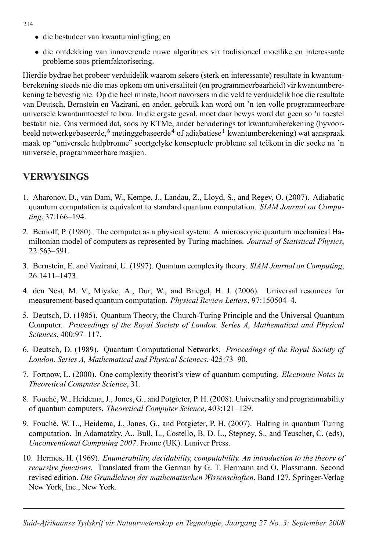- die bestudeer van kwantuminligting; en
- die ontdekking van innoverende nuwe algoritmes vir tradisioneel moeilike en interessante probleme soos priemfaktorisering.

Hierdie bydrae het probeer verduidelik waarom sekere (sterk en interessante) resultate in kwantumberekening steeds nie die mas opkom om universaliteit (en programmeerbaarheid) vir kwantumberekening te bevestig nie. Op die heel minste, hoort navorsers in dié veld te verduidelik hoe die resultate van Deutsch, Bernstein en Vazirani, en ander, gebruik kan word om 'n ten volle programmeerbare universele kwantumtoestel te bou. In die ergste geval, moet daar bewys word dat geen so 'n toestel bestaan nie. Ons vermoed dat, soos by KTMe, ander benaderings tot kwantumberekening (byvoorbeeld netwerkgebaseerde, <sup>6</sup> metinggebaseerde<sup>4</sup> of adiabatiese <sup>1</sup> kwantumberekening) wat aanspraak maak op "universele hulpbronne" soortgelyke konseptuele probleme sal teëkom in die soeke na 'n universele, programmeerbare masjien.

### **VERWYSINGS VERWYSINGS**

- 1. Aharonov, D., van Dam, W., Kempe, J., Landau, Z., Lloyd, S., and Regev, O. (2007). Adiabatic quantum computation is equivalent to standard quantum computation. *SIAM Journal on Computing*, 37:166–194.
- 2. Benioff, P. (1980). The computer as a physical system: A microscopic quantum mechanical Hamiltonian model of computers as represented by Turing machines. *Journal of Statistical Physics*, 22:563–591.
- 3. Bernstein, E. and Vazirani, U. (1997). Quantum complexity theory. *SIAM Journal on Computing*, 26:1411–1473.
- 4. den Nest, M. V., Miyake, A., Dur, W., and Briegel, H. J. (2006). Universal resources for measurement-based quantum computation. *Physical Review Letters*, 97:150504–4.
- 5. Deutsch, D. (1985). Quantum Theory, the Church-Turing Principle and the Universal Quantum Computer. *Proceedings of the Royal Society of London. Series A, Mathematical and Physical Sciences*, 400:97–117.
- 6. Deutsch, D. (1989). Quantum Computational Networks. *Proceedings of the Royal Society of London. Series A, Mathematical and Physical Sciences*, 425:73–90.
- 7. Fortnow, L. (2000). One complexity theorist's view of quantum computing. *Electronic Notes in Theoretical Computer Science*, 31.
- 8. Fouch´e, W., Heidema, J., Jones, G., and Potgieter, P. H. (2008). Universality and programmability of quantum computers. *Theoretical Computer Science*, 403:121–129.
- 9. Fouch´e, W. L., Heidema, J., Jones, G., and Potgieter, P. H. (2007). Halting in quantum Turing computation. In Adamatzky, A., Bull, L., Costello, B. D. L., Stepney, S., and Teuscher, C. (eds), *Unconventional Computing 2007*. Frome (UK). Luniver Press.
- 10. Hermes, H. (1969). *Enumerability, decidability, computability. An introduction to the theory of recursive functions*. Translated from the German by G. T. Hermann and O. Plassmann. Second revised edition. *Die Grundlehren der mathematischen Wissenschaften*, Band 127. Springer-Verlag New York, Inc., New York.